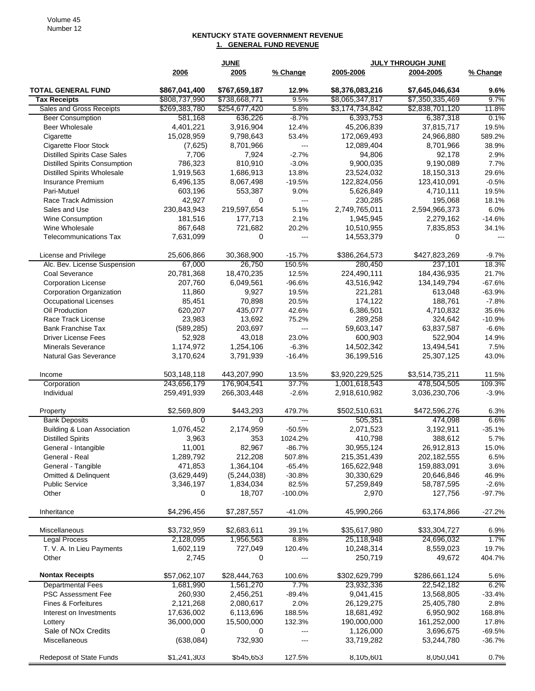## **KENTUCKY STATE GOVERNMENT REVENUE 1. GENERAL FUND REVENUE**

| 2005<br>2005-2006<br>2004-2005<br>% Change<br>2006<br>% Change<br><b>TOTAL GENERAL FUND</b><br>\$867,041,400<br>\$767,659,187<br>\$8,376,083,216<br>\$7,645,046,634<br>12.9%<br>9.6%<br>\$808,737,990<br>\$738,668,771<br>9.5%<br>\$8,065,347,817<br>\$7,350,335,469<br>9.7%<br><b>Tax Receipts</b><br>5.8%<br>Sales and Gross Receipts<br>\$269,383,780<br>\$254,677,420<br>\$3,174,734,842<br>\$2,838,701,120<br>11.8%<br>581,168<br>636,226<br>$-8.7%$<br>6,393,753<br>6,387,318<br>0.1%<br><b>Beer Consumption</b><br>4,401,221<br>3,916,904<br>12.4%<br>45,206,839<br>37,815,717<br>19.5%<br>Beer Wholesale<br>15,028,959<br>9,798,643<br>172,069,493<br>24,966,880<br>589.2%<br>Cigarette<br>53.4%<br>(7,625)<br>8,701,966<br>12,089,404<br>8,701,966<br>38.9%<br>Cigarette Floor Stock<br>$\overline{a}$<br>7,706<br><b>Distilled Spirits Case Sales</b><br>7,924<br>$-2.7%$<br>94,806<br>92,178<br>2.9%<br><b>Distilled Spirits Consumption</b><br>786,323<br>810,910<br>$-3.0%$<br>9,900,035<br>9,190,089<br>7.7%<br><b>Distilled Spirits Wholesale</b><br>1,919,563<br>1,686,913<br>13.8%<br>23,524,032<br>18,150,313<br>29.6%<br>6,496,135<br>8,067,498<br>$-19.5%$<br>123,410,091<br>$-0.5%$<br><b>Insurance Premium</b><br>122,824,056<br>603,196<br>9.0%<br>5,626,849<br>19.5%<br>Pari-Mutuel<br>553,387<br>4,710,111<br>42,927<br>0<br>Race Track Admission<br>---<br>230,285<br>195,068<br>18.1%<br>230,843,943<br>219,597,654<br>5.1%<br>2,749,765,011<br>2,594,966,373<br>6.0%<br>Sales and Use<br>181,516<br>2.1%<br>1,945,945<br>2,279,162<br>$-14.6%$<br><b>Wine Consumption</b><br>177,713<br>Wine Wholesale<br>867,648<br>721,682<br>20.2%<br>10,510,955<br>7,835,853<br>34.1%<br>7,631,099<br>0<br><b>Telecommunications Tax</b><br>14,553,379<br>0<br>---<br>$\overline{a}$<br>25,606,866<br>30,368,900<br>$-15.7%$<br>\$386,264,573<br>\$427,823,269<br>License and Privilege<br>$-9.7%$<br>26,750<br>237,101<br>Alc. Bev. License Suspension<br>67,000<br>150.5%<br>280,450<br>18.3%<br>20,781,368<br>18,470,235<br>12.5%<br>224,490,111<br>184,436,935<br>21.7%<br>Coal Severance<br>207,760<br>6,049,561<br>$-96.6%$<br>43,516,942<br>134,149,794<br>$-67.6%$<br><b>Corporation License</b><br>11,860<br>9,927<br>19.5%<br>221,281<br>613,048<br>$-63.9%$<br>Corporation Organization<br>85,451<br>70,898<br>20.5%<br>174,122<br>188,761<br>$-7.8%$<br><b>Occupational Licenses</b><br>620,207<br>435,077<br>42.6%<br>6,386,501<br>4,710,832<br>35.6%<br>Oil Production<br>23,983<br>13,692<br>75.2%<br>289,258<br>324,642<br>$-10.9%$<br>Race Track License<br>(589, 285)<br>203,697<br>59,603,147<br>63,837,587<br><b>Bank Franchise Tax</b><br>$-6.6%$<br>$---$<br>52,928<br>43,018<br>23.0%<br>600,903<br>522,904<br>14.9%<br><b>Driver License Fees</b><br>1,174,972<br>1,254,106<br>$-6.3%$<br>14,502,342<br>13,494,541<br>7.5%<br><b>Minerals Severance</b><br>3,170,624<br>3,791,939<br>36,199,516<br>25,307,125<br><b>Natural Gas Severance</b><br>$-16.4%$<br>43.0%<br>503,148,118<br>443,207,990<br>\$3,920,229,525<br>13.5%<br>\$3,514,735,211<br>11.5%<br>Income<br>37.7%<br>243,656,179<br>176,904,541<br>1,001,618,543<br>478,504,505<br>109.3%<br>Corporation<br>259,491,939<br>266,303,448<br>$-2.6%$<br>2,918,610,982<br>3,036,230,706<br>Individual<br>$-3.9%$<br>\$443,293<br>\$2,569,809<br>479.7%<br>\$502,510,631<br>\$472,596,276<br>6.3%<br>Property<br>505,351<br>474,098<br>6.6%<br><b>Bank Deposits</b><br>0<br>0<br>$---$<br>Building & Loan Association<br>1,076,452<br>2,174,959<br>2,071,523<br>3,192,911<br>$-50.5%$<br>$-35.1%$<br>353<br>1024.2%<br>410,798<br>388,612<br><b>Distilled Spirits</b><br>3,963<br>5.7%<br>82.967<br>30,955,124<br>11,001<br>$-86.7%$<br>26,912,813<br>15.0%<br>General - Intangible<br>1,289,792<br>212,208<br>507.8%<br>215,351,439<br>202,182,555<br>6.5%<br>General - Real<br>471,853<br>1,364,104<br>$-65.4%$<br>165,622,948<br>159,883,091<br>3.6%<br>General - Tangible<br>(3,629,449)<br>(5,244,038)<br>$-30.8%$<br>Omitted & Delinquent<br>30,330,629<br>20,646,846<br>46.9%<br>3,346,197<br>82.5%<br><b>Public Service</b><br>1,834,034<br>57,259,849<br>58,787,595<br>$-2.6%$<br>18,707<br>$-100.0%$<br>2,970<br>127,756<br>Other<br>0<br>$-97.7%$<br>\$4,296,456<br>\$7,287,557<br>45,990,266<br>$-27.2%$<br>$-41.0%$<br>63,174,866<br>Inheritance<br>\$3,732,959<br>\$2,683,611<br>\$35,617,980<br>\$33,304,727<br>Miscellaneous<br>39.1%<br>6.9%<br>2,128,095<br>8.8%<br>25,118,948<br>24,696,032<br>1.7%<br><b>Legal Process</b><br>1,956,563<br>T. V. A. In Lieu Payments<br>1,602,119<br>727,049<br>120.4%<br>10,248,314<br>8,559,023<br>19.7%<br>250,719<br>49,672<br>Other<br>2,745<br>0<br>404.7%<br><b>Nontax Receipts</b><br>\$57,062,107<br>\$302,629,799<br>\$286,661,124<br>\$28,444,763<br>100.6%<br>5.6%<br><b>Departmental Fees</b><br>1,681,990<br>1,561,270<br>7.7%<br>23,932,336<br>22,542,182<br>6.2%<br>260,930<br>PSC Assessment Fee<br>2,456,251<br>$-89.4%$<br>9,041,415<br>13,568,805<br>$-33.4%$<br>2,080,617<br>2.0%<br><b>Fines &amp; Forfeitures</b><br>2,121,268<br>26,129,275<br>25,405,780<br>2.8%<br>17,636,002<br>6,113,696<br>18,681,492<br>6,950,902<br>188.5%<br>168.8%<br>Interest on Investments<br>190,000,000<br>161,252,000<br>36,000,000<br>15,500,000<br>132.3%<br>17.8%<br>Lottery<br>Sale of NOx Credits<br>1,126,000<br>0<br>3,696,675<br>$-69.5%$<br>0<br>---<br>(638, 084)<br>732,930<br>Miscellaneous<br>33,719,282<br>53,244,780<br>$-36.7%$<br>8,105,601<br>Redeposit of State Funds<br>\$1,241,303<br>\$545,653<br>127.5%<br>8,050,041<br>0.7% |  | <b>JUNE</b> | <b>JULY THROUGH JUNE</b> |  |  |
|-------------------------------------------------------------------------------------------------------------------------------------------------------------------------------------------------------------------------------------------------------------------------------------------------------------------------------------------------------------------------------------------------------------------------------------------------------------------------------------------------------------------------------------------------------------------------------------------------------------------------------------------------------------------------------------------------------------------------------------------------------------------------------------------------------------------------------------------------------------------------------------------------------------------------------------------------------------------------------------------------------------------------------------------------------------------------------------------------------------------------------------------------------------------------------------------------------------------------------------------------------------------------------------------------------------------------------------------------------------------------------------------------------------------------------------------------------------------------------------------------------------------------------------------------------------------------------------------------------------------------------------------------------------------------------------------------------------------------------------------------------------------------------------------------------------------------------------------------------------------------------------------------------------------------------------------------------------------------------------------------------------------------------------------------------------------------------------------------------------------------------------------------------------------------------------------------------------------------------------------------------------------------------------------------------------------------------------------------------------------------------------------------------------------------------------------------------------------------------------------------------------------------------------------------------------------------------------------------------------------------------------------------------------------------------------------------------------------------------------------------------------------------------------------------------------------------------------------------------------------------------------------------------------------------------------------------------------------------------------------------------------------------------------------------------------------------------------------------------------------------------------------------------------------------------------------------------------------------------------------------------------------------------------------------------------------------------------------------------------------------------------------------------------------------------------------------------------------------------------------------------------------------------------------------------------------------------------------------------------------------------------------------------------------------------------------------------------------------------------------------------------------------------------------------------------------------------------------------------------------------------------------------------------------------------------------------------------------------------------------------------------------------------------------------------------------------------------------------------------------------------------------------------------------------------------------------------------------------------------------------------------------------------------------------------------------------------------------------------------------------------------------------------------------------------------------------------------------------------------------------------------------------------------------------------------------------------------------------------------------------------------------------------------------------------------------------------------------------------------------------------------------------------------------------------------------------------------------------------------------------------------------------------------------------------------------------------------------------------------------------------------------------------------------------------------------------------------------------------------------------------------------------------------------------------------------------------------------------------------------------------------------------------------------------------------------------------------------------------------------------------------------------------------------------------------------------------------------------------------------------------------------------------------------------------------------------------------------------------------|--|-------------|--------------------------|--|--|
|                                                                                                                                                                                                                                                                                                                                                                                                                                                                                                                                                                                                                                                                                                                                                                                                                                                                                                                                                                                                                                                                                                                                                                                                                                                                                                                                                                                                                                                                                                                                                                                                                                                                                                                                                                                                                                                                                                                                                                                                                                                                                                                                                                                                                                                                                                                                                                                                                                                                                                                                                                                                                                                                                                                                                                                                                                                                                                                                                                                                                                                                                                                                                                                                                                                                                                                                                                                                                                                                                                                                                                                                                                                                                                                                                                                                                                                                                                                                                                                                                                                                                                                                                                                                                                                                                                                                                                                                                                                                                                                                                                                                                                                                                                                                                                                                                                                                                                                                                                                                                                                                                                                                                                                                                                                                                                                                                                                                                                                                                                                                                                                                             |  |             |                          |  |  |
|                                                                                                                                                                                                                                                                                                                                                                                                                                                                                                                                                                                                                                                                                                                                                                                                                                                                                                                                                                                                                                                                                                                                                                                                                                                                                                                                                                                                                                                                                                                                                                                                                                                                                                                                                                                                                                                                                                                                                                                                                                                                                                                                                                                                                                                                                                                                                                                                                                                                                                                                                                                                                                                                                                                                                                                                                                                                                                                                                                                                                                                                                                                                                                                                                                                                                                                                                                                                                                                                                                                                                                                                                                                                                                                                                                                                                                                                                                                                                                                                                                                                                                                                                                                                                                                                                                                                                                                                                                                                                                                                                                                                                                                                                                                                                                                                                                                                                                                                                                                                                                                                                                                                                                                                                                                                                                                                                                                                                                                                                                                                                                                                             |  |             |                          |  |  |
|                                                                                                                                                                                                                                                                                                                                                                                                                                                                                                                                                                                                                                                                                                                                                                                                                                                                                                                                                                                                                                                                                                                                                                                                                                                                                                                                                                                                                                                                                                                                                                                                                                                                                                                                                                                                                                                                                                                                                                                                                                                                                                                                                                                                                                                                                                                                                                                                                                                                                                                                                                                                                                                                                                                                                                                                                                                                                                                                                                                                                                                                                                                                                                                                                                                                                                                                                                                                                                                                                                                                                                                                                                                                                                                                                                                                                                                                                                                                                                                                                                                                                                                                                                                                                                                                                                                                                                                                                                                                                                                                                                                                                                                                                                                                                                                                                                                                                                                                                                                                                                                                                                                                                                                                                                                                                                                                                                                                                                                                                                                                                                                                             |  |             |                          |  |  |
|                                                                                                                                                                                                                                                                                                                                                                                                                                                                                                                                                                                                                                                                                                                                                                                                                                                                                                                                                                                                                                                                                                                                                                                                                                                                                                                                                                                                                                                                                                                                                                                                                                                                                                                                                                                                                                                                                                                                                                                                                                                                                                                                                                                                                                                                                                                                                                                                                                                                                                                                                                                                                                                                                                                                                                                                                                                                                                                                                                                                                                                                                                                                                                                                                                                                                                                                                                                                                                                                                                                                                                                                                                                                                                                                                                                                                                                                                                                                                                                                                                                                                                                                                                                                                                                                                                                                                                                                                                                                                                                                                                                                                                                                                                                                                                                                                                                                                                                                                                                                                                                                                                                                                                                                                                                                                                                                                                                                                                                                                                                                                                                                             |  |             |                          |  |  |
|                                                                                                                                                                                                                                                                                                                                                                                                                                                                                                                                                                                                                                                                                                                                                                                                                                                                                                                                                                                                                                                                                                                                                                                                                                                                                                                                                                                                                                                                                                                                                                                                                                                                                                                                                                                                                                                                                                                                                                                                                                                                                                                                                                                                                                                                                                                                                                                                                                                                                                                                                                                                                                                                                                                                                                                                                                                                                                                                                                                                                                                                                                                                                                                                                                                                                                                                                                                                                                                                                                                                                                                                                                                                                                                                                                                                                                                                                                                                                                                                                                                                                                                                                                                                                                                                                                                                                                                                                                                                                                                                                                                                                                                                                                                                                                                                                                                                                                                                                                                                                                                                                                                                                                                                                                                                                                                                                                                                                                                                                                                                                                                                             |  |             |                          |  |  |
|                                                                                                                                                                                                                                                                                                                                                                                                                                                                                                                                                                                                                                                                                                                                                                                                                                                                                                                                                                                                                                                                                                                                                                                                                                                                                                                                                                                                                                                                                                                                                                                                                                                                                                                                                                                                                                                                                                                                                                                                                                                                                                                                                                                                                                                                                                                                                                                                                                                                                                                                                                                                                                                                                                                                                                                                                                                                                                                                                                                                                                                                                                                                                                                                                                                                                                                                                                                                                                                                                                                                                                                                                                                                                                                                                                                                                                                                                                                                                                                                                                                                                                                                                                                                                                                                                                                                                                                                                                                                                                                                                                                                                                                                                                                                                                                                                                                                                                                                                                                                                                                                                                                                                                                                                                                                                                                                                                                                                                                                                                                                                                                                             |  |             |                          |  |  |
|                                                                                                                                                                                                                                                                                                                                                                                                                                                                                                                                                                                                                                                                                                                                                                                                                                                                                                                                                                                                                                                                                                                                                                                                                                                                                                                                                                                                                                                                                                                                                                                                                                                                                                                                                                                                                                                                                                                                                                                                                                                                                                                                                                                                                                                                                                                                                                                                                                                                                                                                                                                                                                                                                                                                                                                                                                                                                                                                                                                                                                                                                                                                                                                                                                                                                                                                                                                                                                                                                                                                                                                                                                                                                                                                                                                                                                                                                                                                                                                                                                                                                                                                                                                                                                                                                                                                                                                                                                                                                                                                                                                                                                                                                                                                                                                                                                                                                                                                                                                                                                                                                                                                                                                                                                                                                                                                                                                                                                                                                                                                                                                                             |  |             |                          |  |  |
|                                                                                                                                                                                                                                                                                                                                                                                                                                                                                                                                                                                                                                                                                                                                                                                                                                                                                                                                                                                                                                                                                                                                                                                                                                                                                                                                                                                                                                                                                                                                                                                                                                                                                                                                                                                                                                                                                                                                                                                                                                                                                                                                                                                                                                                                                                                                                                                                                                                                                                                                                                                                                                                                                                                                                                                                                                                                                                                                                                                                                                                                                                                                                                                                                                                                                                                                                                                                                                                                                                                                                                                                                                                                                                                                                                                                                                                                                                                                                                                                                                                                                                                                                                                                                                                                                                                                                                                                                                                                                                                                                                                                                                                                                                                                                                                                                                                                                                                                                                                                                                                                                                                                                                                                                                                                                                                                                                                                                                                                                                                                                                                                             |  |             |                          |  |  |
|                                                                                                                                                                                                                                                                                                                                                                                                                                                                                                                                                                                                                                                                                                                                                                                                                                                                                                                                                                                                                                                                                                                                                                                                                                                                                                                                                                                                                                                                                                                                                                                                                                                                                                                                                                                                                                                                                                                                                                                                                                                                                                                                                                                                                                                                                                                                                                                                                                                                                                                                                                                                                                                                                                                                                                                                                                                                                                                                                                                                                                                                                                                                                                                                                                                                                                                                                                                                                                                                                                                                                                                                                                                                                                                                                                                                                                                                                                                                                                                                                                                                                                                                                                                                                                                                                                                                                                                                                                                                                                                                                                                                                                                                                                                                                                                                                                                                                                                                                                                                                                                                                                                                                                                                                                                                                                                                                                                                                                                                                                                                                                                                             |  |             |                          |  |  |
|                                                                                                                                                                                                                                                                                                                                                                                                                                                                                                                                                                                                                                                                                                                                                                                                                                                                                                                                                                                                                                                                                                                                                                                                                                                                                                                                                                                                                                                                                                                                                                                                                                                                                                                                                                                                                                                                                                                                                                                                                                                                                                                                                                                                                                                                                                                                                                                                                                                                                                                                                                                                                                                                                                                                                                                                                                                                                                                                                                                                                                                                                                                                                                                                                                                                                                                                                                                                                                                                                                                                                                                                                                                                                                                                                                                                                                                                                                                                                                                                                                                                                                                                                                                                                                                                                                                                                                                                                                                                                                                                                                                                                                                                                                                                                                                                                                                                                                                                                                                                                                                                                                                                                                                                                                                                                                                                                                                                                                                                                                                                                                                                             |  |             |                          |  |  |
|                                                                                                                                                                                                                                                                                                                                                                                                                                                                                                                                                                                                                                                                                                                                                                                                                                                                                                                                                                                                                                                                                                                                                                                                                                                                                                                                                                                                                                                                                                                                                                                                                                                                                                                                                                                                                                                                                                                                                                                                                                                                                                                                                                                                                                                                                                                                                                                                                                                                                                                                                                                                                                                                                                                                                                                                                                                                                                                                                                                                                                                                                                                                                                                                                                                                                                                                                                                                                                                                                                                                                                                                                                                                                                                                                                                                                                                                                                                                                                                                                                                                                                                                                                                                                                                                                                                                                                                                                                                                                                                                                                                                                                                                                                                                                                                                                                                                                                                                                                                                                                                                                                                                                                                                                                                                                                                                                                                                                                                                                                                                                                                                             |  |             |                          |  |  |
|                                                                                                                                                                                                                                                                                                                                                                                                                                                                                                                                                                                                                                                                                                                                                                                                                                                                                                                                                                                                                                                                                                                                                                                                                                                                                                                                                                                                                                                                                                                                                                                                                                                                                                                                                                                                                                                                                                                                                                                                                                                                                                                                                                                                                                                                                                                                                                                                                                                                                                                                                                                                                                                                                                                                                                                                                                                                                                                                                                                                                                                                                                                                                                                                                                                                                                                                                                                                                                                                                                                                                                                                                                                                                                                                                                                                                                                                                                                                                                                                                                                                                                                                                                                                                                                                                                                                                                                                                                                                                                                                                                                                                                                                                                                                                                                                                                                                                                                                                                                                                                                                                                                                                                                                                                                                                                                                                                                                                                                                                                                                                                                                             |  |             |                          |  |  |
|                                                                                                                                                                                                                                                                                                                                                                                                                                                                                                                                                                                                                                                                                                                                                                                                                                                                                                                                                                                                                                                                                                                                                                                                                                                                                                                                                                                                                                                                                                                                                                                                                                                                                                                                                                                                                                                                                                                                                                                                                                                                                                                                                                                                                                                                                                                                                                                                                                                                                                                                                                                                                                                                                                                                                                                                                                                                                                                                                                                                                                                                                                                                                                                                                                                                                                                                                                                                                                                                                                                                                                                                                                                                                                                                                                                                                                                                                                                                                                                                                                                                                                                                                                                                                                                                                                                                                                                                                                                                                                                                                                                                                                                                                                                                                                                                                                                                                                                                                                                                                                                                                                                                                                                                                                                                                                                                                                                                                                                                                                                                                                                                             |  |             |                          |  |  |
|                                                                                                                                                                                                                                                                                                                                                                                                                                                                                                                                                                                                                                                                                                                                                                                                                                                                                                                                                                                                                                                                                                                                                                                                                                                                                                                                                                                                                                                                                                                                                                                                                                                                                                                                                                                                                                                                                                                                                                                                                                                                                                                                                                                                                                                                                                                                                                                                                                                                                                                                                                                                                                                                                                                                                                                                                                                                                                                                                                                                                                                                                                                                                                                                                                                                                                                                                                                                                                                                                                                                                                                                                                                                                                                                                                                                                                                                                                                                                                                                                                                                                                                                                                                                                                                                                                                                                                                                                                                                                                                                                                                                                                                                                                                                                                                                                                                                                                                                                                                                                                                                                                                                                                                                                                                                                                                                                                                                                                                                                                                                                                                                             |  |             |                          |  |  |
|                                                                                                                                                                                                                                                                                                                                                                                                                                                                                                                                                                                                                                                                                                                                                                                                                                                                                                                                                                                                                                                                                                                                                                                                                                                                                                                                                                                                                                                                                                                                                                                                                                                                                                                                                                                                                                                                                                                                                                                                                                                                                                                                                                                                                                                                                                                                                                                                                                                                                                                                                                                                                                                                                                                                                                                                                                                                                                                                                                                                                                                                                                                                                                                                                                                                                                                                                                                                                                                                                                                                                                                                                                                                                                                                                                                                                                                                                                                                                                                                                                                                                                                                                                                                                                                                                                                                                                                                                                                                                                                                                                                                                                                                                                                                                                                                                                                                                                                                                                                                                                                                                                                                                                                                                                                                                                                                                                                                                                                                                                                                                                                                             |  |             |                          |  |  |
|                                                                                                                                                                                                                                                                                                                                                                                                                                                                                                                                                                                                                                                                                                                                                                                                                                                                                                                                                                                                                                                                                                                                                                                                                                                                                                                                                                                                                                                                                                                                                                                                                                                                                                                                                                                                                                                                                                                                                                                                                                                                                                                                                                                                                                                                                                                                                                                                                                                                                                                                                                                                                                                                                                                                                                                                                                                                                                                                                                                                                                                                                                                                                                                                                                                                                                                                                                                                                                                                                                                                                                                                                                                                                                                                                                                                                                                                                                                                                                                                                                                                                                                                                                                                                                                                                                                                                                                                                                                                                                                                                                                                                                                                                                                                                                                                                                                                                                                                                                                                                                                                                                                                                                                                                                                                                                                                                                                                                                                                                                                                                                                                             |  |             |                          |  |  |
|                                                                                                                                                                                                                                                                                                                                                                                                                                                                                                                                                                                                                                                                                                                                                                                                                                                                                                                                                                                                                                                                                                                                                                                                                                                                                                                                                                                                                                                                                                                                                                                                                                                                                                                                                                                                                                                                                                                                                                                                                                                                                                                                                                                                                                                                                                                                                                                                                                                                                                                                                                                                                                                                                                                                                                                                                                                                                                                                                                                                                                                                                                                                                                                                                                                                                                                                                                                                                                                                                                                                                                                                                                                                                                                                                                                                                                                                                                                                                                                                                                                                                                                                                                                                                                                                                                                                                                                                                                                                                                                                                                                                                                                                                                                                                                                                                                                                                                                                                                                                                                                                                                                                                                                                                                                                                                                                                                                                                                                                                                                                                                                                             |  |             |                          |  |  |
|                                                                                                                                                                                                                                                                                                                                                                                                                                                                                                                                                                                                                                                                                                                                                                                                                                                                                                                                                                                                                                                                                                                                                                                                                                                                                                                                                                                                                                                                                                                                                                                                                                                                                                                                                                                                                                                                                                                                                                                                                                                                                                                                                                                                                                                                                                                                                                                                                                                                                                                                                                                                                                                                                                                                                                                                                                                                                                                                                                                                                                                                                                                                                                                                                                                                                                                                                                                                                                                                                                                                                                                                                                                                                                                                                                                                                                                                                                                                                                                                                                                                                                                                                                                                                                                                                                                                                                                                                                                                                                                                                                                                                                                                                                                                                                                                                                                                                                                                                                                                                                                                                                                                                                                                                                                                                                                                                                                                                                                                                                                                                                                                             |  |             |                          |  |  |
|                                                                                                                                                                                                                                                                                                                                                                                                                                                                                                                                                                                                                                                                                                                                                                                                                                                                                                                                                                                                                                                                                                                                                                                                                                                                                                                                                                                                                                                                                                                                                                                                                                                                                                                                                                                                                                                                                                                                                                                                                                                                                                                                                                                                                                                                                                                                                                                                                                                                                                                                                                                                                                                                                                                                                                                                                                                                                                                                                                                                                                                                                                                                                                                                                                                                                                                                                                                                                                                                                                                                                                                                                                                                                                                                                                                                                                                                                                                                                                                                                                                                                                                                                                                                                                                                                                                                                                                                                                                                                                                                                                                                                                                                                                                                                                                                                                                                                                                                                                                                                                                                                                                                                                                                                                                                                                                                                                                                                                                                                                                                                                                                             |  |             |                          |  |  |
|                                                                                                                                                                                                                                                                                                                                                                                                                                                                                                                                                                                                                                                                                                                                                                                                                                                                                                                                                                                                                                                                                                                                                                                                                                                                                                                                                                                                                                                                                                                                                                                                                                                                                                                                                                                                                                                                                                                                                                                                                                                                                                                                                                                                                                                                                                                                                                                                                                                                                                                                                                                                                                                                                                                                                                                                                                                                                                                                                                                                                                                                                                                                                                                                                                                                                                                                                                                                                                                                                                                                                                                                                                                                                                                                                                                                                                                                                                                                                                                                                                                                                                                                                                                                                                                                                                                                                                                                                                                                                                                                                                                                                                                                                                                                                                                                                                                                                                                                                                                                                                                                                                                                                                                                                                                                                                                                                                                                                                                                                                                                                                                                             |  |             |                          |  |  |
|                                                                                                                                                                                                                                                                                                                                                                                                                                                                                                                                                                                                                                                                                                                                                                                                                                                                                                                                                                                                                                                                                                                                                                                                                                                                                                                                                                                                                                                                                                                                                                                                                                                                                                                                                                                                                                                                                                                                                                                                                                                                                                                                                                                                                                                                                                                                                                                                                                                                                                                                                                                                                                                                                                                                                                                                                                                                                                                                                                                                                                                                                                                                                                                                                                                                                                                                                                                                                                                                                                                                                                                                                                                                                                                                                                                                                                                                                                                                                                                                                                                                                                                                                                                                                                                                                                                                                                                                                                                                                                                                                                                                                                                                                                                                                                                                                                                                                                                                                                                                                                                                                                                                                                                                                                                                                                                                                                                                                                                                                                                                                                                                             |  |             |                          |  |  |
|                                                                                                                                                                                                                                                                                                                                                                                                                                                                                                                                                                                                                                                                                                                                                                                                                                                                                                                                                                                                                                                                                                                                                                                                                                                                                                                                                                                                                                                                                                                                                                                                                                                                                                                                                                                                                                                                                                                                                                                                                                                                                                                                                                                                                                                                                                                                                                                                                                                                                                                                                                                                                                                                                                                                                                                                                                                                                                                                                                                                                                                                                                                                                                                                                                                                                                                                                                                                                                                                                                                                                                                                                                                                                                                                                                                                                                                                                                                                                                                                                                                                                                                                                                                                                                                                                                                                                                                                                                                                                                                                                                                                                                                                                                                                                                                                                                                                                                                                                                                                                                                                                                                                                                                                                                                                                                                                                                                                                                                                                                                                                                                                             |  |             |                          |  |  |
|                                                                                                                                                                                                                                                                                                                                                                                                                                                                                                                                                                                                                                                                                                                                                                                                                                                                                                                                                                                                                                                                                                                                                                                                                                                                                                                                                                                                                                                                                                                                                                                                                                                                                                                                                                                                                                                                                                                                                                                                                                                                                                                                                                                                                                                                                                                                                                                                                                                                                                                                                                                                                                                                                                                                                                                                                                                                                                                                                                                                                                                                                                                                                                                                                                                                                                                                                                                                                                                                                                                                                                                                                                                                                                                                                                                                                                                                                                                                                                                                                                                                                                                                                                                                                                                                                                                                                                                                                                                                                                                                                                                                                                                                                                                                                                                                                                                                                                                                                                                                                                                                                                                                                                                                                                                                                                                                                                                                                                                                                                                                                                                                             |  |             |                          |  |  |
|                                                                                                                                                                                                                                                                                                                                                                                                                                                                                                                                                                                                                                                                                                                                                                                                                                                                                                                                                                                                                                                                                                                                                                                                                                                                                                                                                                                                                                                                                                                                                                                                                                                                                                                                                                                                                                                                                                                                                                                                                                                                                                                                                                                                                                                                                                                                                                                                                                                                                                                                                                                                                                                                                                                                                                                                                                                                                                                                                                                                                                                                                                                                                                                                                                                                                                                                                                                                                                                                                                                                                                                                                                                                                                                                                                                                                                                                                                                                                                                                                                                                                                                                                                                                                                                                                                                                                                                                                                                                                                                                                                                                                                                                                                                                                                                                                                                                                                                                                                                                                                                                                                                                                                                                                                                                                                                                                                                                                                                                                                                                                                                                             |  |             |                          |  |  |
|                                                                                                                                                                                                                                                                                                                                                                                                                                                                                                                                                                                                                                                                                                                                                                                                                                                                                                                                                                                                                                                                                                                                                                                                                                                                                                                                                                                                                                                                                                                                                                                                                                                                                                                                                                                                                                                                                                                                                                                                                                                                                                                                                                                                                                                                                                                                                                                                                                                                                                                                                                                                                                                                                                                                                                                                                                                                                                                                                                                                                                                                                                                                                                                                                                                                                                                                                                                                                                                                                                                                                                                                                                                                                                                                                                                                                                                                                                                                                                                                                                                                                                                                                                                                                                                                                                                                                                                                                                                                                                                                                                                                                                                                                                                                                                                                                                                                                                                                                                                                                                                                                                                                                                                                                                                                                                                                                                                                                                                                                                                                                                                                             |  |             |                          |  |  |
|                                                                                                                                                                                                                                                                                                                                                                                                                                                                                                                                                                                                                                                                                                                                                                                                                                                                                                                                                                                                                                                                                                                                                                                                                                                                                                                                                                                                                                                                                                                                                                                                                                                                                                                                                                                                                                                                                                                                                                                                                                                                                                                                                                                                                                                                                                                                                                                                                                                                                                                                                                                                                                                                                                                                                                                                                                                                                                                                                                                                                                                                                                                                                                                                                                                                                                                                                                                                                                                                                                                                                                                                                                                                                                                                                                                                                                                                                                                                                                                                                                                                                                                                                                                                                                                                                                                                                                                                                                                                                                                                                                                                                                                                                                                                                                                                                                                                                                                                                                                                                                                                                                                                                                                                                                                                                                                                                                                                                                                                                                                                                                                                             |  |             |                          |  |  |
|                                                                                                                                                                                                                                                                                                                                                                                                                                                                                                                                                                                                                                                                                                                                                                                                                                                                                                                                                                                                                                                                                                                                                                                                                                                                                                                                                                                                                                                                                                                                                                                                                                                                                                                                                                                                                                                                                                                                                                                                                                                                                                                                                                                                                                                                                                                                                                                                                                                                                                                                                                                                                                                                                                                                                                                                                                                                                                                                                                                                                                                                                                                                                                                                                                                                                                                                                                                                                                                                                                                                                                                                                                                                                                                                                                                                                                                                                                                                                                                                                                                                                                                                                                                                                                                                                                                                                                                                                                                                                                                                                                                                                                                                                                                                                                                                                                                                                                                                                                                                                                                                                                                                                                                                                                                                                                                                                                                                                                                                                                                                                                                                             |  |             |                          |  |  |
|                                                                                                                                                                                                                                                                                                                                                                                                                                                                                                                                                                                                                                                                                                                                                                                                                                                                                                                                                                                                                                                                                                                                                                                                                                                                                                                                                                                                                                                                                                                                                                                                                                                                                                                                                                                                                                                                                                                                                                                                                                                                                                                                                                                                                                                                                                                                                                                                                                                                                                                                                                                                                                                                                                                                                                                                                                                                                                                                                                                                                                                                                                                                                                                                                                                                                                                                                                                                                                                                                                                                                                                                                                                                                                                                                                                                                                                                                                                                                                                                                                                                                                                                                                                                                                                                                                                                                                                                                                                                                                                                                                                                                                                                                                                                                                                                                                                                                                                                                                                                                                                                                                                                                                                                                                                                                                                                                                                                                                                                                                                                                                                                             |  |             |                          |  |  |
|                                                                                                                                                                                                                                                                                                                                                                                                                                                                                                                                                                                                                                                                                                                                                                                                                                                                                                                                                                                                                                                                                                                                                                                                                                                                                                                                                                                                                                                                                                                                                                                                                                                                                                                                                                                                                                                                                                                                                                                                                                                                                                                                                                                                                                                                                                                                                                                                                                                                                                                                                                                                                                                                                                                                                                                                                                                                                                                                                                                                                                                                                                                                                                                                                                                                                                                                                                                                                                                                                                                                                                                                                                                                                                                                                                                                                                                                                                                                                                                                                                                                                                                                                                                                                                                                                                                                                                                                                                                                                                                                                                                                                                                                                                                                                                                                                                                                                                                                                                                                                                                                                                                                                                                                                                                                                                                                                                                                                                                                                                                                                                                                             |  |             |                          |  |  |
|                                                                                                                                                                                                                                                                                                                                                                                                                                                                                                                                                                                                                                                                                                                                                                                                                                                                                                                                                                                                                                                                                                                                                                                                                                                                                                                                                                                                                                                                                                                                                                                                                                                                                                                                                                                                                                                                                                                                                                                                                                                                                                                                                                                                                                                                                                                                                                                                                                                                                                                                                                                                                                                                                                                                                                                                                                                                                                                                                                                                                                                                                                                                                                                                                                                                                                                                                                                                                                                                                                                                                                                                                                                                                                                                                                                                                                                                                                                                                                                                                                                                                                                                                                                                                                                                                                                                                                                                                                                                                                                                                                                                                                                                                                                                                                                                                                                                                                                                                                                                                                                                                                                                                                                                                                                                                                                                                                                                                                                                                                                                                                                                             |  |             |                          |  |  |
|                                                                                                                                                                                                                                                                                                                                                                                                                                                                                                                                                                                                                                                                                                                                                                                                                                                                                                                                                                                                                                                                                                                                                                                                                                                                                                                                                                                                                                                                                                                                                                                                                                                                                                                                                                                                                                                                                                                                                                                                                                                                                                                                                                                                                                                                                                                                                                                                                                                                                                                                                                                                                                                                                                                                                                                                                                                                                                                                                                                                                                                                                                                                                                                                                                                                                                                                                                                                                                                                                                                                                                                                                                                                                                                                                                                                                                                                                                                                                                                                                                                                                                                                                                                                                                                                                                                                                                                                                                                                                                                                                                                                                                                                                                                                                                                                                                                                                                                                                                                                                                                                                                                                                                                                                                                                                                                                                                                                                                                                                                                                                                                                             |  |             |                          |  |  |
|                                                                                                                                                                                                                                                                                                                                                                                                                                                                                                                                                                                                                                                                                                                                                                                                                                                                                                                                                                                                                                                                                                                                                                                                                                                                                                                                                                                                                                                                                                                                                                                                                                                                                                                                                                                                                                                                                                                                                                                                                                                                                                                                                                                                                                                                                                                                                                                                                                                                                                                                                                                                                                                                                                                                                                                                                                                                                                                                                                                                                                                                                                                                                                                                                                                                                                                                                                                                                                                                                                                                                                                                                                                                                                                                                                                                                                                                                                                                                                                                                                                                                                                                                                                                                                                                                                                                                                                                                                                                                                                                                                                                                                                                                                                                                                                                                                                                                                                                                                                                                                                                                                                                                                                                                                                                                                                                                                                                                                                                                                                                                                                                             |  |             |                          |  |  |
|                                                                                                                                                                                                                                                                                                                                                                                                                                                                                                                                                                                                                                                                                                                                                                                                                                                                                                                                                                                                                                                                                                                                                                                                                                                                                                                                                                                                                                                                                                                                                                                                                                                                                                                                                                                                                                                                                                                                                                                                                                                                                                                                                                                                                                                                                                                                                                                                                                                                                                                                                                                                                                                                                                                                                                                                                                                                                                                                                                                                                                                                                                                                                                                                                                                                                                                                                                                                                                                                                                                                                                                                                                                                                                                                                                                                                                                                                                                                                                                                                                                                                                                                                                                                                                                                                                                                                                                                                                                                                                                                                                                                                                                                                                                                                                                                                                                                                                                                                                                                                                                                                                                                                                                                                                                                                                                                                                                                                                                                                                                                                                                                             |  |             |                          |  |  |
|                                                                                                                                                                                                                                                                                                                                                                                                                                                                                                                                                                                                                                                                                                                                                                                                                                                                                                                                                                                                                                                                                                                                                                                                                                                                                                                                                                                                                                                                                                                                                                                                                                                                                                                                                                                                                                                                                                                                                                                                                                                                                                                                                                                                                                                                                                                                                                                                                                                                                                                                                                                                                                                                                                                                                                                                                                                                                                                                                                                                                                                                                                                                                                                                                                                                                                                                                                                                                                                                                                                                                                                                                                                                                                                                                                                                                                                                                                                                                                                                                                                                                                                                                                                                                                                                                                                                                                                                                                                                                                                                                                                                                                                                                                                                                                                                                                                                                                                                                                                                                                                                                                                                                                                                                                                                                                                                                                                                                                                                                                                                                                                                             |  |             |                          |  |  |
|                                                                                                                                                                                                                                                                                                                                                                                                                                                                                                                                                                                                                                                                                                                                                                                                                                                                                                                                                                                                                                                                                                                                                                                                                                                                                                                                                                                                                                                                                                                                                                                                                                                                                                                                                                                                                                                                                                                                                                                                                                                                                                                                                                                                                                                                                                                                                                                                                                                                                                                                                                                                                                                                                                                                                                                                                                                                                                                                                                                                                                                                                                                                                                                                                                                                                                                                                                                                                                                                                                                                                                                                                                                                                                                                                                                                                                                                                                                                                                                                                                                                                                                                                                                                                                                                                                                                                                                                                                                                                                                                                                                                                                                                                                                                                                                                                                                                                                                                                                                                                                                                                                                                                                                                                                                                                                                                                                                                                                                                                                                                                                                                             |  |             |                          |  |  |
|                                                                                                                                                                                                                                                                                                                                                                                                                                                                                                                                                                                                                                                                                                                                                                                                                                                                                                                                                                                                                                                                                                                                                                                                                                                                                                                                                                                                                                                                                                                                                                                                                                                                                                                                                                                                                                                                                                                                                                                                                                                                                                                                                                                                                                                                                                                                                                                                                                                                                                                                                                                                                                                                                                                                                                                                                                                                                                                                                                                                                                                                                                                                                                                                                                                                                                                                                                                                                                                                                                                                                                                                                                                                                                                                                                                                                                                                                                                                                                                                                                                                                                                                                                                                                                                                                                                                                                                                                                                                                                                                                                                                                                                                                                                                                                                                                                                                                                                                                                                                                                                                                                                                                                                                                                                                                                                                                                                                                                                                                                                                                                                                             |  |             |                          |  |  |
|                                                                                                                                                                                                                                                                                                                                                                                                                                                                                                                                                                                                                                                                                                                                                                                                                                                                                                                                                                                                                                                                                                                                                                                                                                                                                                                                                                                                                                                                                                                                                                                                                                                                                                                                                                                                                                                                                                                                                                                                                                                                                                                                                                                                                                                                                                                                                                                                                                                                                                                                                                                                                                                                                                                                                                                                                                                                                                                                                                                                                                                                                                                                                                                                                                                                                                                                                                                                                                                                                                                                                                                                                                                                                                                                                                                                                                                                                                                                                                                                                                                                                                                                                                                                                                                                                                                                                                                                                                                                                                                                                                                                                                                                                                                                                                                                                                                                                                                                                                                                                                                                                                                                                                                                                                                                                                                                                                                                                                                                                                                                                                                                             |  |             |                          |  |  |
|                                                                                                                                                                                                                                                                                                                                                                                                                                                                                                                                                                                                                                                                                                                                                                                                                                                                                                                                                                                                                                                                                                                                                                                                                                                                                                                                                                                                                                                                                                                                                                                                                                                                                                                                                                                                                                                                                                                                                                                                                                                                                                                                                                                                                                                                                                                                                                                                                                                                                                                                                                                                                                                                                                                                                                                                                                                                                                                                                                                                                                                                                                                                                                                                                                                                                                                                                                                                                                                                                                                                                                                                                                                                                                                                                                                                                                                                                                                                                                                                                                                                                                                                                                                                                                                                                                                                                                                                                                                                                                                                                                                                                                                                                                                                                                                                                                                                                                                                                                                                                                                                                                                                                                                                                                                                                                                                                                                                                                                                                                                                                                                                             |  |             |                          |  |  |
|                                                                                                                                                                                                                                                                                                                                                                                                                                                                                                                                                                                                                                                                                                                                                                                                                                                                                                                                                                                                                                                                                                                                                                                                                                                                                                                                                                                                                                                                                                                                                                                                                                                                                                                                                                                                                                                                                                                                                                                                                                                                                                                                                                                                                                                                                                                                                                                                                                                                                                                                                                                                                                                                                                                                                                                                                                                                                                                                                                                                                                                                                                                                                                                                                                                                                                                                                                                                                                                                                                                                                                                                                                                                                                                                                                                                                                                                                                                                                                                                                                                                                                                                                                                                                                                                                                                                                                                                                                                                                                                                                                                                                                                                                                                                                                                                                                                                                                                                                                                                                                                                                                                                                                                                                                                                                                                                                                                                                                                                                                                                                                                                             |  |             |                          |  |  |
|                                                                                                                                                                                                                                                                                                                                                                                                                                                                                                                                                                                                                                                                                                                                                                                                                                                                                                                                                                                                                                                                                                                                                                                                                                                                                                                                                                                                                                                                                                                                                                                                                                                                                                                                                                                                                                                                                                                                                                                                                                                                                                                                                                                                                                                                                                                                                                                                                                                                                                                                                                                                                                                                                                                                                                                                                                                                                                                                                                                                                                                                                                                                                                                                                                                                                                                                                                                                                                                                                                                                                                                                                                                                                                                                                                                                                                                                                                                                                                                                                                                                                                                                                                                                                                                                                                                                                                                                                                                                                                                                                                                                                                                                                                                                                                                                                                                                                                                                                                                                                                                                                                                                                                                                                                                                                                                                                                                                                                                                                                                                                                                                             |  |             |                          |  |  |
|                                                                                                                                                                                                                                                                                                                                                                                                                                                                                                                                                                                                                                                                                                                                                                                                                                                                                                                                                                                                                                                                                                                                                                                                                                                                                                                                                                                                                                                                                                                                                                                                                                                                                                                                                                                                                                                                                                                                                                                                                                                                                                                                                                                                                                                                                                                                                                                                                                                                                                                                                                                                                                                                                                                                                                                                                                                                                                                                                                                                                                                                                                                                                                                                                                                                                                                                                                                                                                                                                                                                                                                                                                                                                                                                                                                                                                                                                                                                                                                                                                                                                                                                                                                                                                                                                                                                                                                                                                                                                                                                                                                                                                                                                                                                                                                                                                                                                                                                                                                                                                                                                                                                                                                                                                                                                                                                                                                                                                                                                                                                                                                                             |  |             |                          |  |  |
|                                                                                                                                                                                                                                                                                                                                                                                                                                                                                                                                                                                                                                                                                                                                                                                                                                                                                                                                                                                                                                                                                                                                                                                                                                                                                                                                                                                                                                                                                                                                                                                                                                                                                                                                                                                                                                                                                                                                                                                                                                                                                                                                                                                                                                                                                                                                                                                                                                                                                                                                                                                                                                                                                                                                                                                                                                                                                                                                                                                                                                                                                                                                                                                                                                                                                                                                                                                                                                                                                                                                                                                                                                                                                                                                                                                                                                                                                                                                                                                                                                                                                                                                                                                                                                                                                                                                                                                                                                                                                                                                                                                                                                                                                                                                                                                                                                                                                                                                                                                                                                                                                                                                                                                                                                                                                                                                                                                                                                                                                                                                                                                                             |  |             |                          |  |  |
|                                                                                                                                                                                                                                                                                                                                                                                                                                                                                                                                                                                                                                                                                                                                                                                                                                                                                                                                                                                                                                                                                                                                                                                                                                                                                                                                                                                                                                                                                                                                                                                                                                                                                                                                                                                                                                                                                                                                                                                                                                                                                                                                                                                                                                                                                                                                                                                                                                                                                                                                                                                                                                                                                                                                                                                                                                                                                                                                                                                                                                                                                                                                                                                                                                                                                                                                                                                                                                                                                                                                                                                                                                                                                                                                                                                                                                                                                                                                                                                                                                                                                                                                                                                                                                                                                                                                                                                                                                                                                                                                                                                                                                                                                                                                                                                                                                                                                                                                                                                                                                                                                                                                                                                                                                                                                                                                                                                                                                                                                                                                                                                                             |  |             |                          |  |  |
|                                                                                                                                                                                                                                                                                                                                                                                                                                                                                                                                                                                                                                                                                                                                                                                                                                                                                                                                                                                                                                                                                                                                                                                                                                                                                                                                                                                                                                                                                                                                                                                                                                                                                                                                                                                                                                                                                                                                                                                                                                                                                                                                                                                                                                                                                                                                                                                                                                                                                                                                                                                                                                                                                                                                                                                                                                                                                                                                                                                                                                                                                                                                                                                                                                                                                                                                                                                                                                                                                                                                                                                                                                                                                                                                                                                                                                                                                                                                                                                                                                                                                                                                                                                                                                                                                                                                                                                                                                                                                                                                                                                                                                                                                                                                                                                                                                                                                                                                                                                                                                                                                                                                                                                                                                                                                                                                                                                                                                                                                                                                                                                                             |  |             |                          |  |  |
|                                                                                                                                                                                                                                                                                                                                                                                                                                                                                                                                                                                                                                                                                                                                                                                                                                                                                                                                                                                                                                                                                                                                                                                                                                                                                                                                                                                                                                                                                                                                                                                                                                                                                                                                                                                                                                                                                                                                                                                                                                                                                                                                                                                                                                                                                                                                                                                                                                                                                                                                                                                                                                                                                                                                                                                                                                                                                                                                                                                                                                                                                                                                                                                                                                                                                                                                                                                                                                                                                                                                                                                                                                                                                                                                                                                                                                                                                                                                                                                                                                                                                                                                                                                                                                                                                                                                                                                                                                                                                                                                                                                                                                                                                                                                                                                                                                                                                                                                                                                                                                                                                                                                                                                                                                                                                                                                                                                                                                                                                                                                                                                                             |  |             |                          |  |  |
|                                                                                                                                                                                                                                                                                                                                                                                                                                                                                                                                                                                                                                                                                                                                                                                                                                                                                                                                                                                                                                                                                                                                                                                                                                                                                                                                                                                                                                                                                                                                                                                                                                                                                                                                                                                                                                                                                                                                                                                                                                                                                                                                                                                                                                                                                                                                                                                                                                                                                                                                                                                                                                                                                                                                                                                                                                                                                                                                                                                                                                                                                                                                                                                                                                                                                                                                                                                                                                                                                                                                                                                                                                                                                                                                                                                                                                                                                                                                                                                                                                                                                                                                                                                                                                                                                                                                                                                                                                                                                                                                                                                                                                                                                                                                                                                                                                                                                                                                                                                                                                                                                                                                                                                                                                                                                                                                                                                                                                                                                                                                                                                                             |  |             |                          |  |  |
|                                                                                                                                                                                                                                                                                                                                                                                                                                                                                                                                                                                                                                                                                                                                                                                                                                                                                                                                                                                                                                                                                                                                                                                                                                                                                                                                                                                                                                                                                                                                                                                                                                                                                                                                                                                                                                                                                                                                                                                                                                                                                                                                                                                                                                                                                                                                                                                                                                                                                                                                                                                                                                                                                                                                                                                                                                                                                                                                                                                                                                                                                                                                                                                                                                                                                                                                                                                                                                                                                                                                                                                                                                                                                                                                                                                                                                                                                                                                                                                                                                                                                                                                                                                                                                                                                                                                                                                                                                                                                                                                                                                                                                                                                                                                                                                                                                                                                                                                                                                                                                                                                                                                                                                                                                                                                                                                                                                                                                                                                                                                                                                                             |  |             |                          |  |  |
|                                                                                                                                                                                                                                                                                                                                                                                                                                                                                                                                                                                                                                                                                                                                                                                                                                                                                                                                                                                                                                                                                                                                                                                                                                                                                                                                                                                                                                                                                                                                                                                                                                                                                                                                                                                                                                                                                                                                                                                                                                                                                                                                                                                                                                                                                                                                                                                                                                                                                                                                                                                                                                                                                                                                                                                                                                                                                                                                                                                                                                                                                                                                                                                                                                                                                                                                                                                                                                                                                                                                                                                                                                                                                                                                                                                                                                                                                                                                                                                                                                                                                                                                                                                                                                                                                                                                                                                                                                                                                                                                                                                                                                                                                                                                                                                                                                                                                                                                                                                                                                                                                                                                                                                                                                                                                                                                                                                                                                                                                                                                                                                                             |  |             |                          |  |  |
|                                                                                                                                                                                                                                                                                                                                                                                                                                                                                                                                                                                                                                                                                                                                                                                                                                                                                                                                                                                                                                                                                                                                                                                                                                                                                                                                                                                                                                                                                                                                                                                                                                                                                                                                                                                                                                                                                                                                                                                                                                                                                                                                                                                                                                                                                                                                                                                                                                                                                                                                                                                                                                                                                                                                                                                                                                                                                                                                                                                                                                                                                                                                                                                                                                                                                                                                                                                                                                                                                                                                                                                                                                                                                                                                                                                                                                                                                                                                                                                                                                                                                                                                                                                                                                                                                                                                                                                                                                                                                                                                                                                                                                                                                                                                                                                                                                                                                                                                                                                                                                                                                                                                                                                                                                                                                                                                                                                                                                                                                                                                                                                                             |  |             |                          |  |  |
|                                                                                                                                                                                                                                                                                                                                                                                                                                                                                                                                                                                                                                                                                                                                                                                                                                                                                                                                                                                                                                                                                                                                                                                                                                                                                                                                                                                                                                                                                                                                                                                                                                                                                                                                                                                                                                                                                                                                                                                                                                                                                                                                                                                                                                                                                                                                                                                                                                                                                                                                                                                                                                                                                                                                                                                                                                                                                                                                                                                                                                                                                                                                                                                                                                                                                                                                                                                                                                                                                                                                                                                                                                                                                                                                                                                                                                                                                                                                                                                                                                                                                                                                                                                                                                                                                                                                                                                                                                                                                                                                                                                                                                                                                                                                                                                                                                                                                                                                                                                                                                                                                                                                                                                                                                                                                                                                                                                                                                                                                                                                                                                                             |  |             |                          |  |  |
|                                                                                                                                                                                                                                                                                                                                                                                                                                                                                                                                                                                                                                                                                                                                                                                                                                                                                                                                                                                                                                                                                                                                                                                                                                                                                                                                                                                                                                                                                                                                                                                                                                                                                                                                                                                                                                                                                                                                                                                                                                                                                                                                                                                                                                                                                                                                                                                                                                                                                                                                                                                                                                                                                                                                                                                                                                                                                                                                                                                                                                                                                                                                                                                                                                                                                                                                                                                                                                                                                                                                                                                                                                                                                                                                                                                                                                                                                                                                                                                                                                                                                                                                                                                                                                                                                                                                                                                                                                                                                                                                                                                                                                                                                                                                                                                                                                                                                                                                                                                                                                                                                                                                                                                                                                                                                                                                                                                                                                                                                                                                                                                                             |  |             |                          |  |  |
|                                                                                                                                                                                                                                                                                                                                                                                                                                                                                                                                                                                                                                                                                                                                                                                                                                                                                                                                                                                                                                                                                                                                                                                                                                                                                                                                                                                                                                                                                                                                                                                                                                                                                                                                                                                                                                                                                                                                                                                                                                                                                                                                                                                                                                                                                                                                                                                                                                                                                                                                                                                                                                                                                                                                                                                                                                                                                                                                                                                                                                                                                                                                                                                                                                                                                                                                                                                                                                                                                                                                                                                                                                                                                                                                                                                                                                                                                                                                                                                                                                                                                                                                                                                                                                                                                                                                                                                                                                                                                                                                                                                                                                                                                                                                                                                                                                                                                                                                                                                                                                                                                                                                                                                                                                                                                                                                                                                                                                                                                                                                                                                                             |  |             |                          |  |  |
|                                                                                                                                                                                                                                                                                                                                                                                                                                                                                                                                                                                                                                                                                                                                                                                                                                                                                                                                                                                                                                                                                                                                                                                                                                                                                                                                                                                                                                                                                                                                                                                                                                                                                                                                                                                                                                                                                                                                                                                                                                                                                                                                                                                                                                                                                                                                                                                                                                                                                                                                                                                                                                                                                                                                                                                                                                                                                                                                                                                                                                                                                                                                                                                                                                                                                                                                                                                                                                                                                                                                                                                                                                                                                                                                                                                                                                                                                                                                                                                                                                                                                                                                                                                                                                                                                                                                                                                                                                                                                                                                                                                                                                                                                                                                                                                                                                                                                                                                                                                                                                                                                                                                                                                                                                                                                                                                                                                                                                                                                                                                                                                                             |  |             |                          |  |  |
|                                                                                                                                                                                                                                                                                                                                                                                                                                                                                                                                                                                                                                                                                                                                                                                                                                                                                                                                                                                                                                                                                                                                                                                                                                                                                                                                                                                                                                                                                                                                                                                                                                                                                                                                                                                                                                                                                                                                                                                                                                                                                                                                                                                                                                                                                                                                                                                                                                                                                                                                                                                                                                                                                                                                                                                                                                                                                                                                                                                                                                                                                                                                                                                                                                                                                                                                                                                                                                                                                                                                                                                                                                                                                                                                                                                                                                                                                                                                                                                                                                                                                                                                                                                                                                                                                                                                                                                                                                                                                                                                                                                                                                                                                                                                                                                                                                                                                                                                                                                                                                                                                                                                                                                                                                                                                                                                                                                                                                                                                                                                                                                                             |  |             |                          |  |  |
|                                                                                                                                                                                                                                                                                                                                                                                                                                                                                                                                                                                                                                                                                                                                                                                                                                                                                                                                                                                                                                                                                                                                                                                                                                                                                                                                                                                                                                                                                                                                                                                                                                                                                                                                                                                                                                                                                                                                                                                                                                                                                                                                                                                                                                                                                                                                                                                                                                                                                                                                                                                                                                                                                                                                                                                                                                                                                                                                                                                                                                                                                                                                                                                                                                                                                                                                                                                                                                                                                                                                                                                                                                                                                                                                                                                                                                                                                                                                                                                                                                                                                                                                                                                                                                                                                                                                                                                                                                                                                                                                                                                                                                                                                                                                                                                                                                                                                                                                                                                                                                                                                                                                                                                                                                                                                                                                                                                                                                                                                                                                                                                                             |  |             |                          |  |  |
|                                                                                                                                                                                                                                                                                                                                                                                                                                                                                                                                                                                                                                                                                                                                                                                                                                                                                                                                                                                                                                                                                                                                                                                                                                                                                                                                                                                                                                                                                                                                                                                                                                                                                                                                                                                                                                                                                                                                                                                                                                                                                                                                                                                                                                                                                                                                                                                                                                                                                                                                                                                                                                                                                                                                                                                                                                                                                                                                                                                                                                                                                                                                                                                                                                                                                                                                                                                                                                                                                                                                                                                                                                                                                                                                                                                                                                                                                                                                                                                                                                                                                                                                                                                                                                                                                                                                                                                                                                                                                                                                                                                                                                                                                                                                                                                                                                                                                                                                                                                                                                                                                                                                                                                                                                                                                                                                                                                                                                                                                                                                                                                                             |  |             |                          |  |  |
|                                                                                                                                                                                                                                                                                                                                                                                                                                                                                                                                                                                                                                                                                                                                                                                                                                                                                                                                                                                                                                                                                                                                                                                                                                                                                                                                                                                                                                                                                                                                                                                                                                                                                                                                                                                                                                                                                                                                                                                                                                                                                                                                                                                                                                                                                                                                                                                                                                                                                                                                                                                                                                                                                                                                                                                                                                                                                                                                                                                                                                                                                                                                                                                                                                                                                                                                                                                                                                                                                                                                                                                                                                                                                                                                                                                                                                                                                                                                                                                                                                                                                                                                                                                                                                                                                                                                                                                                                                                                                                                                                                                                                                                                                                                                                                                                                                                                                                                                                                                                                                                                                                                                                                                                                                                                                                                                                                                                                                                                                                                                                                                                             |  |             |                          |  |  |
|                                                                                                                                                                                                                                                                                                                                                                                                                                                                                                                                                                                                                                                                                                                                                                                                                                                                                                                                                                                                                                                                                                                                                                                                                                                                                                                                                                                                                                                                                                                                                                                                                                                                                                                                                                                                                                                                                                                                                                                                                                                                                                                                                                                                                                                                                                                                                                                                                                                                                                                                                                                                                                                                                                                                                                                                                                                                                                                                                                                                                                                                                                                                                                                                                                                                                                                                                                                                                                                                                                                                                                                                                                                                                                                                                                                                                                                                                                                                                                                                                                                                                                                                                                                                                                                                                                                                                                                                                                                                                                                                                                                                                                                                                                                                                                                                                                                                                                                                                                                                                                                                                                                                                                                                                                                                                                                                                                                                                                                                                                                                                                                                             |  |             |                          |  |  |